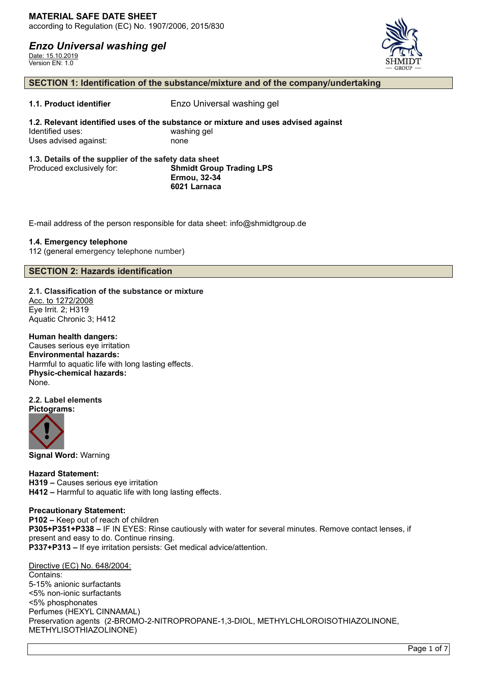*Enzo Universal washing gel*

Date: 15.10.2019 Version EN: 1.0



# **SECTION 1: Identification of the substance/mixture and of the company/undertaking**

**1.1. Product identifier** Enzo Universal washing gel

**1.2. Relevant identified uses of the substance or mixture and uses advised against** Identified uses: washing gel Uses advised against: none

#### **1.3. Details of the supplier of the safety data sheet** Produced exclusively for: **Shmidt Group Trading LPS Ermou, 32-34 6021 Larnaca**

E-mail address of the person responsible for data sheet: info@shmidtgroup.de

### **1.4. Emergency telephone**

112 (general emergency telephone number)

# **SECTION 2: Hazards identification**

**2.1. Classification of the substance or mixture** Acc. to 1272/2008

Eye Irrit. 2; H319 Aquatic Chronic 3; H412

**Human health dangers:** Causes serious eye irritation **Environmental hazards:**

Harmful to aquatic life with long lasting effects. **Physic-chemical hazards:** None.

#### **2.2. Label elements Pictograms:**



**Signal Word:** Warning

**Hazard Statement: H319 –** Causes serious eye irritation **H412 –** Harmful to aquatic life with long lasting effects.

# **Precautionary Statement:**

**P102 –** Keep out of reach of children **P305+P351+P338 –** IF IN EYES: Rinse cautiously with water for several minutes. Remove contact lenses, if present and easy to do. Continue rinsing. **P337+P313 –** If eye irritation persists: Get medical advice/attention.

Directive (EC) No. 648/2004:

Contains: 5-15% anionic surfactants <5% non-ionic surfactants <5% phosphonates Perfumes (HEXYL CINNAMAL) Preservation agents (2-BROMO-2-NITROPROPANE-1,3-DIOL, METHYLCHLOROISOTHIAZOLINONE, METHYLISOTHIAZOLINONE)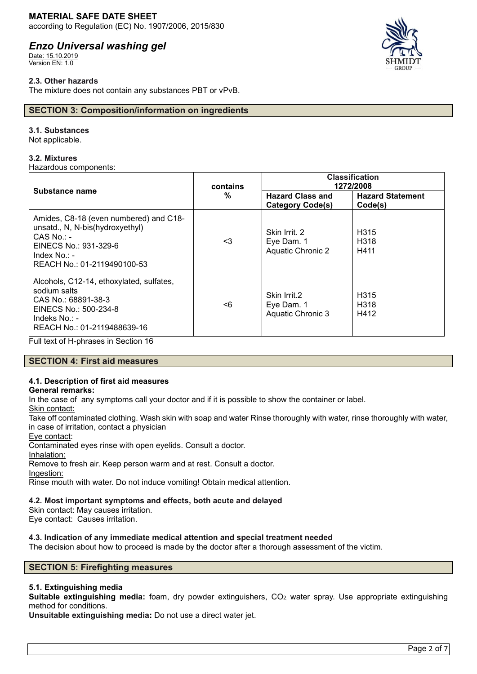# **MATERIAL SAFE DATE SHEET**

according to Regulation (EC) No. 1907/2006, 2015/830

# *Enzo Universal washing gel*

Date: 15.10.2019 Version EN: 1.0

# **2.3. Other hazards**

The mixture does not contain any substances PBT or vPvB.

# **SECTION 3: Composition/information on ingredients**

### **3.1. Substances**

Not applicable.

### **3.2. Mixtures**

Hazardous components:

| Substance name                                                                                                                                                       | contains<br>% | <b>Classification</b><br>1272/2008                      |                                               |
|----------------------------------------------------------------------------------------------------------------------------------------------------------------------|---------------|---------------------------------------------------------|-----------------------------------------------|
|                                                                                                                                                                      |               | <b>Hazard Class and</b><br><b>Category Code(s)</b>      | <b>Hazard Statement</b><br>Code(s)            |
| Amides, C8-18 (even numbered) and C18-<br>unsatd., N, N-bis(hydroxyethyl)<br>$CAS$ No.: -<br>EINECS No.: 931-329-6<br>Index $No. : -$<br>REACH No.: 01-2119490100-53 | <3            | Skin Irrit, 2<br>Eye Dam. 1<br><b>Aquatic Chronic 2</b> | H <sub>315</sub><br>H <sub>318</sub><br>H411  |
| Alcohols, C12-14, ethoxylated, sulfates,<br>sodium salts<br>CAS No.: 68891-38-3<br>EINECS No.: 500-234-8<br>Indeks No.: -<br>REACH No.: 01-2119488639-16             | <6            | Skin Irrit.2<br>Eye Dam. 1<br>Aquatic Chronic 3         | H <sub>315</sub><br>H <sub>3</sub> 18<br>H412 |

Full text of H-phrases in Section 16

# **SECTION 4: First aid measures**

# **4.1. Description of first aid measures**

# **General remarks:**

In the case of any symptoms call your doctor and if it is possible to show the container or label.

Skin contact:

Take off contaminated clothing. Wash skin with soap and water Rinse thoroughly with water, rinse thoroughly with water, in case of irritation, contact a physician

Eye contact:

Contaminated eyes rinse with open eyelids. Consult a doctor.

Inhalation:

Remove to fresh air. Keep person warm and at rest. Consult a doctor.

Ingestion:

Rinse mouth with water. Do not induce vomiting! Obtain medical attention.

# **4.2. Most important symptoms and effects, both acute and delayed**

Skin contact: May causes irritation.

Eye contact: Causes irritation.

# **4.3. Indication of any immediate medical attention and special treatment needed**

The decision about how to proceed is made by the doctor after a thorough assessment of the victim.

# **SECTION 5: Firefighting measures**

# **5.1. Extinguishing media**

**Suitable extinguishing media:** foam, dry powder extinguishers, CO2, water spray. Use appropriate extinguishing method for conditions.

**Unsuitable extinguishing media:** Do not use a direct water jet.

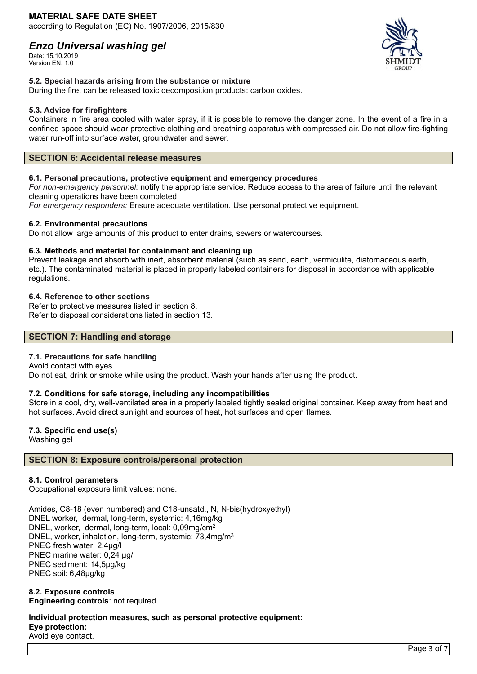# **MATERIAL SAFE DATE SHEET**

according to Regulation (EC) No. 1907/2006, 2015/830

# *Enzo Universal washing gel*

Date: 15.10.2019 Version EN: 1.0



# **5.2. Special hazards arising from the substance or mixture**

During the fire, can be released toxic decomposition products: carbon oxides.

#### **5.3. Advice for firefighters**

Containers in fire area cooled with water spray, if it is possible to remove the danger zone. In the event of a fire in a confined space should wear protective clothing and breathing apparatus with compressed air. Do not allow fire-fighting water run-off into surface water, groundwater and sewer.

### **SECTION 6: Accidental release measures**

### **6.1. Personal precautions, protective equipment and emergency procedures**

*For non-emergency personnel:* notify the appropriate service. Reduce access to the area of failure until the relevant cleaning operations have been completed.

*For emergency responders:* Ensure adequate ventilation. Use personal protective equipment.

#### **6.2. Environmental precautions**

Do not allow large amounts of this product to enter drains, sewers or watercourses.

#### **6.3. Methods and material for containment and cleaning up**

Prevent leakage and absorb with inert, absorbent material (such as sand, earth, vermiculite, diatomaceous earth, etc.). The contaminated material is placed in properly labeled containers for disposal in accordance with applicable regulations.

### **6.4. Reference to other sections**

Refer to protective measures listed in section 8. Refer to disposal considerations listed in section 13.

# **SECTION 7: Handling and storage**

# **7.1. Precautions for safe handling**

Avoid contact with eyes. Do not eat, drink or smoke while using the product. Wash your hands after using the product.

#### **7.2. Conditions for safe storage, including any incompatibilities**

Store in a cool, dry, well-ventilated area in a properly labeled tightly sealed original container. Keep away from heat and hot surfaces. Avoid direct sunlight and sources of heat, hot surfaces and open flames.

# **7.3. Specific end use(s)**

Washing gel

# **SECTION 8: Exposure controls/personal protection**

#### **8.1. Control parameters**

Occupational exposure limit values: none.

Amides, C8-18 (even numbered) and C18-unsatd., N, N-bis(hydroxyethyl)

DNEL worker, dermal, long-term, systemic: 4,16mg/kg DNEL, worker, dermal, long-term, local: 0,09mg/cm<sup>2</sup> DNEL, worker, inhalation, long-term, systemic: 73,4mg/m<sup>3</sup> PNEC fresh water: 2,4µg/l PNEC marine water: 0,24 µg/l PNEC sediment: 14,5µg/kg PNEC soil: 6,48µg/kg

#### **8.2. Exposure controls Engineering controls**: not required

**Individual protection measures, such as personal protective equipment: Eye protection:** Avoid eye contact.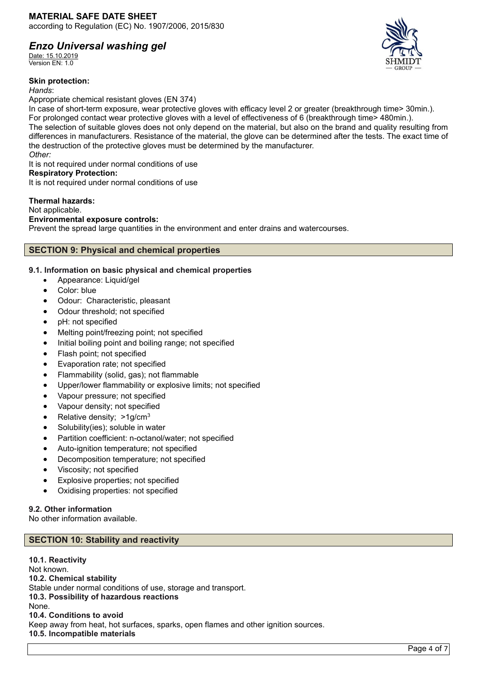# *Enzo Universal washing gel*

Date: 15.10.2019 Version EN: 1.0

#### **Skin protection:**

*Hands*:

Appropriate chemical resistant gloves (EN 374)

In case of short-term exposure, wear protective gloves with efficacy level 2 or greater (breakthrough time> 30min.). For prolonged contact wear protective gloves with a level of effectiveness of 6 (breakthrough time> 480min.). The selection of suitable gloves does not only depend on the material, but also on the brand and quality resulting from differences in manufacturers. Resistance of the material, the glove can be determined after the tests. The exact time of the destruction of the protective gloves must be determined by the manufacturer. *Other:*

It is not required under normal conditions of use

# **Respiratory Protection:**

It is not required under normal conditions of use

# **Thermal hazards:**

Not applicable.

# **Environmental exposure controls:**

Prevent the spread large quantities in the environment and enter drains and watercourses.

# **SECTION 9: Physical and chemical properties**

# **9.1. Information on basic physical and chemical properties**

- Appearance: Liquid/gel
- Color: blue
- Odour: Characteristic, pleasant
- Odour threshold; not specified
- pH: not specified
- Melting point/freezing point; not specified
- Initial boiling point and boiling range; not specified
- Flash point; not specified
- Evaporation rate; not specified
- Flammability (solid, gas); not flammable
- Upper/lower flammability or explosive limits; not specified
- Vapour pressure; not specified
- Vapour density; not specified
- Relative density: >1g/cm<sup>3</sup>
- Solubility(ies); soluble in water
- Partition coefficient: n-octanol/water; not specified
- Auto-ignition temperature; not specified
- Decomposition temperature; not specified
- Viscosity; not specified
- Explosive properties; not specified
- Oxidising properties: not specified

# **9.2. Other information**

No other information available.

# **SECTION 10: Stability and reactivity**

**10.1. Reactivity** Not known. **10.2. Chemical stability** Stable under normal conditions of use, storage and transport. **10.3. Possibility of hazardous reactions** None. **10.4. Conditions to avoid** Keep away from heat, hot surfaces, sparks, open flames and other ignition sources. **10.5. Incompatible materials**

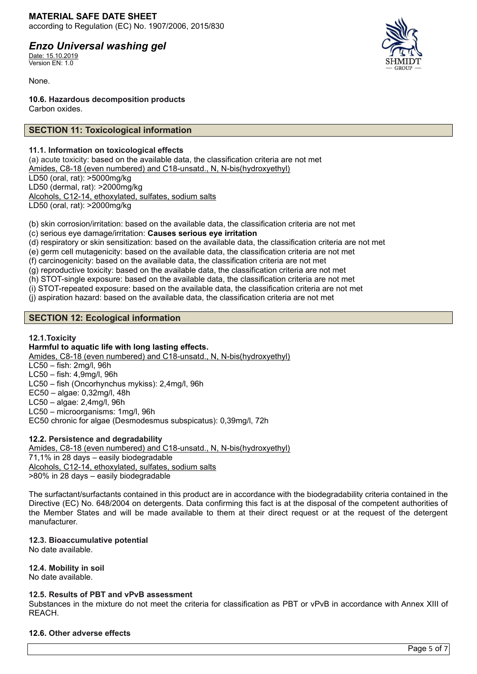**MATERIAL SAFE DATE SHEET** according to Regulation (EC) No. 1907/2006, 2015/830

# *Enzo Universal washing gel*

Date: 15.10.2019 Version EN: 1.0

None.

**10.6. Hazardous decomposition products** Carbon oxides.

# **SECTION 11: Toxicological information**

# **11.1. Information on toxicological effects**

(a) acute toxicity: based on the available data, the classification criteria are not met Amides, C8-18 (even numbered) and C18-unsatd., N, N-bis(hydroxyethyl) LD50 (oral, rat): >5000mg/kg LD50 (dermal, rat): >2000mg/kg Alcohols, C12-14, ethoxylated, sulfates, sodium salts LD50 (oral, rat): >2000mg/kg

(b) skin corrosion/irritation: based on the available data, the classification criteria are not met (c) serious eye damage/irritation: **Causes serious eye irritation**

(d) respiratory or skin sensitization: based on the available data, the classification criteria are not met

(e) germ cell mutagenicity: based on the available data, the classification criteria are not met

(f) carcinogenicity: based on the available data, the classification criteria are not met

(g) reproductive toxicity: based on the available data, the classification criteria are not met

(h) STOT-single exposure: based on the available data, the classification criteria are not met

(i) STOT-repeated exposure: based on the available data, the classification criteria are not met

(j) aspiration hazard: based on the available data, the classification criteria are not met

# **SECTION 12: Ecological information**

# **12.1.Toxicity**

# **Harmful to aquatic life with long lasting effects.**

Amides, C8-18 (even numbered) and C18-unsatd., N, N-bis(hydroxyethyl)

LC50 – fish: 2mg/l, 96h

LC50 – fish: 4,9mg/l, 96h LC50 – fish (Oncorhynchus mykiss): 2,4mg/l, 96h

EC50 – algae: 0,32mg/l, 48h

LC50 – algae: 2,4mg/l, 96h

LC50 – microorganisms: 1mg/l, 96h

EC50 chronic for algae (Desmodesmus subspicatus): 0,39mg/l, 72h

# **12.2. Persistence and degradability**

Amides, C8-18 (even numbered) and C18-unsatd., N, N-bis(hydroxyethyl) 71,1% in 28 days – easily biodegradable Alcohols, C12-14, ethoxylated, sulfates, sodium salts >80% in 28 days – easily biodegradable

The surfactant/surfactants contained in this product are in accordance with the biodegradability criteria contained in the Directive (EC) No. 648/2004 on detergents. Data confirming this fact is at the disposal of the competent authorities of the Member States and will be made available to them at their direct request or at the request of the detergent manufacturer.

# **12.3. Bioaccumulative potential**

No date available.

# **12.4. Mobility in soil**

No date available.

#### **12.5. Results of PBT and vPvB assessment**

Substances in the mixture do not meet the criteria for classification as PBT or vPvB in accordance with Annex XIII of REACH.

# **12.6. Other adverse effects**

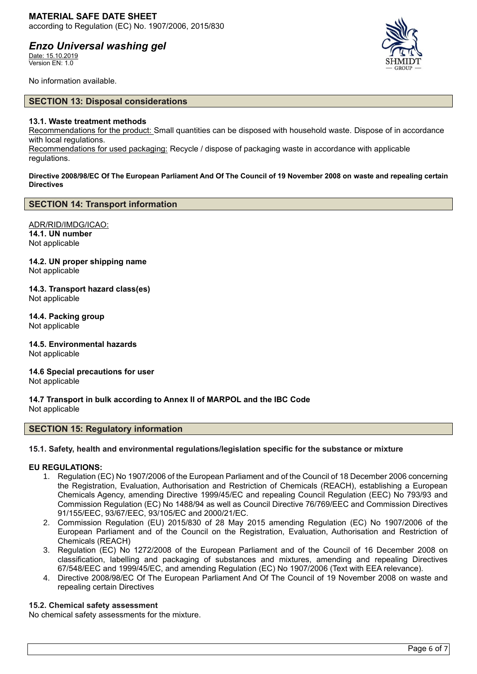# *Enzo Universal washing gel*

Date: 15.10.2019 Version EN: 1.0



No information available.

### **SECTION 13: Disposal considerations**

#### **13.1. Waste treatment methods**

Recommendations for the product: Small quantities can be disposed with household waste. Dispose of in accordance with local regulations.

Recommendations for used packaging: Recycle / dispose of packaging waste in accordance with applicable regulations.

**Directive 2008/98/EC Of The European Parliament And Of The Council of 19 November 2008 on waste and repealing certain Directives**

### **SECTION 14: Transport information**

ADR/RID/IMDG/ICAO: **14.1. UN number** Not applicable

**14.2. UN proper shipping name** Not applicable

**14.3. Transport hazard class(es)** Not applicable

**14.4. Packing group** Not applicable

**14.5. Environmental hazards** Not applicable

**14.6 Special precautions for user** Not applicable

**14.7 Transport in bulk according to Annex II of MARPOL and the IBC Code** Not applicable

#### **SECTION 15: Regulatory information**

#### **15.1. Safety, health and environmental regulations/legislation specific for the substance or mixture**

### **EU REGULATIONS:**

- 1. Regulation (EC) No 1907/2006 of the European Parliament and of the Council of 18 December 2006 concerning the Registration, Evaluation, Authorisation and Restriction of Chemicals (REACH), establishing a European Chemicals Agency, amending Directive 1999/45/EC and repealing Council Regulation (EEC) No 793/93 and Commission Regulation (EC) No 1488/94 as well as Council Directive 76/769/EEC and Commission Directives 91/155/EEC, 93/67/EEC, 93/105/EC and 2000/21/EC.
- 2. Commission Regulation (EU) 2015/830 of 28 May 2015 amending Regulation (EC) No 1907/2006 of the European Parliament and of the Council on the Registration, Evaluation, Authorisation and Restriction of Chemicals (REACH)
- 3. Regulation (EC) No 1272/2008 of the European Parliament and of the Council of 16 December 2008 on classification, labelling and packaging of substances and mixtures, amending and repealing Directives 67/548/EEC and 1999/45/EC, and amending Regulation (EC) No 1907/2006 (Text with EEA relevance).
- 4. Directive 2008/98/EC Of The European Parliament And Of The Council of 19 November 2008 on waste and repealing certain Directives

#### **15.2. Chemical safety assessment**

No chemical safety assessments for the mixture.